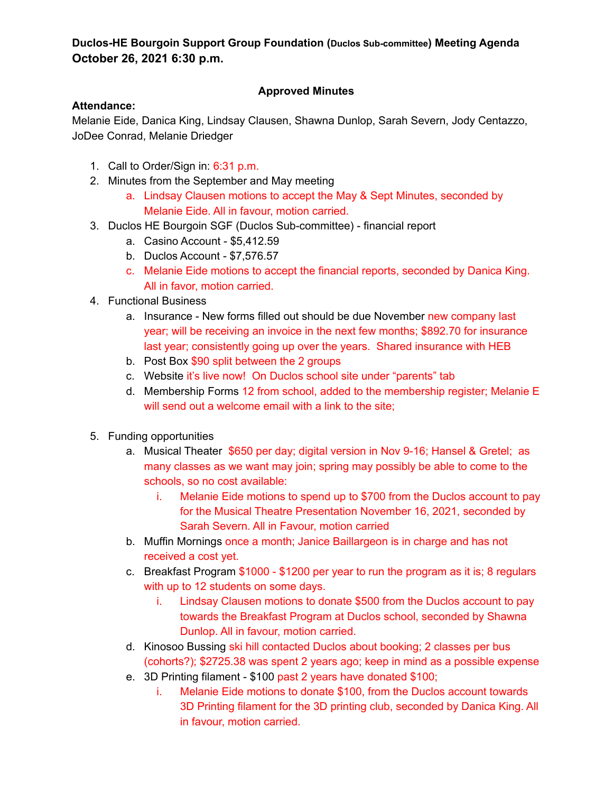# **Duclos-HE Bourgoin Support Group Foundation (Duclos Sub-committee) Meeting Agenda October 26, 2021 6:30 p.m.**

# **Approved Minutes**

## **Attendance:**

Melanie Eide, Danica King, Lindsay Clausen, Shawna Dunlop, Sarah Severn, Jody Centazzo, JoDee Conrad, Melanie Driedger

- 1. Call to Order/Sign in: 6:31 p.m.
- 2. Minutes from the September and May meeting
	- a. Lindsay Clausen motions to accept the May & Sept Minutes, seconded by Melanie Eide. All in favour, motion carried.
- 3. Duclos HE Bourgoin SGF (Duclos Sub-committee) financial report
	- a. Casino Account \$5,412.59
	- b. Duclos Account \$7,576.57
	- c. Melanie Eide motions to accept the financial reports, seconded by Danica King. All in favor, motion carried.
- 4. Functional Business
	- a. Insurance New forms filled out should be due November new company last year; will be receiving an invoice in the next few months; \$892.70 for insurance last year; consistently going up over the years. Shared insurance with HEB
	- b. Post Box \$90 split between the 2 groups
	- c. Website it's live now! On Duclos school site under "parents" tab
	- d. Membership Forms 12 from school, added to the membership register; Melanie E will send out a welcome email with a link to the site;
- 5. Funding opportunities
	- a. Musical Theater \$650 per day; digital version in Nov 9-16; Hansel & Gretel; as many classes as we want may join; spring may possibly be able to come to the schools, so no cost available:
		- i. Melanie Eide motions to spend up to \$700 from the Duclos account to pay for the Musical Theatre Presentation November 16, 2021, seconded by Sarah Severn. All in Favour, motion carried
	- b. Muffin Mornings once a month; Janice Baillargeon is in charge and has not received a cost yet.
	- c. Breakfast Program \$1000 \$1200 per year to run the program as it is; 8 regulars with up to 12 students on some days.
		- i. Lindsay Clausen motions to donate \$500 from the Duclos account to pay towards the Breakfast Program at Duclos school, seconded by Shawna Dunlop. All in favour, motion carried.
	- d. Kinosoo Bussing ski hill contacted Duclos about booking; 2 classes per bus (cohorts?); \$2725.38 was spent 2 years ago; keep in mind as a possible expense
	- e. 3D Printing filament \$100 past 2 years have donated \$100;
		- i. Melanie Eide motions to donate \$100, from the Duclos account towards 3D Printing filament for the 3D printing club, seconded by Danica King. All in favour, motion carried.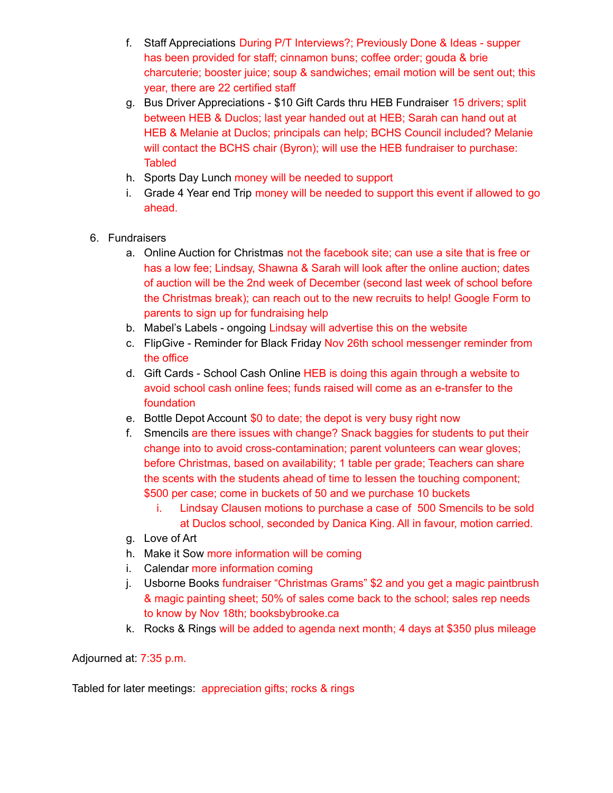- f. Staff Appreciations During P/T Interviews?; Previously Done & Ideas supper has been provided for staff; cinnamon buns; coffee order; gouda & brie charcuterie; booster juice; soup & sandwiches; email motion will be sent out; this year, there are 22 certified staff
- g. Bus Driver Appreciations \$10 Gift Cards thru HEB Fundraiser 15 drivers; split between HEB & Duclos; last year handed out at HEB; Sarah can hand out at HEB & Melanie at Duclos; principals can help; BCHS Council included? Melanie will contact the BCHS chair (Byron); will use the HEB fundraiser to purchase: **Tabled**
- h. Sports Day Lunch money will be needed to support
- i. Grade 4 Year end Trip money will be needed to support this event if allowed to go ahead.
- 6. Fundraisers
	- a. Online Auction for Christmas not the facebook site; can use a site that is free or has a low fee; Lindsay, Shawna & Sarah will look after the online auction; dates of auction will be the 2nd week of December (second last week of school before the Christmas break); can reach out to the new recruits to help! Google Form to parents to sign up for fundraising help
	- b. Mabel's Labels ongoing Lindsay will advertise this on the website
	- c. FlipGive Reminder for Black Friday Nov 26th school messenger reminder from the office
	- d. Gift Cards School Cash Online HEB is doing this again through a website to avoid school cash online fees; funds raised will come as an e-transfer to the foundation
	- e. Bottle Depot Account \$0 to date; the depot is very busy right now
	- f. Smencils are there issues with change? Snack baggies for students to put their change into to avoid cross-contamination; parent volunteers can wear gloves; before Christmas, based on availability; 1 table per grade; Teachers can share the scents with the students ahead of time to lessen the touching component; \$500 per case; come in buckets of 50 and we purchase 10 buckets
		- i. Lindsay Clausen motions to purchase a case of 500 Smencils to be sold at Duclos school, seconded by Danica King. All in favour, motion carried.
	- g. Love of Art
	- h. Make it Sow more information will be coming
	- i. Calendar more information coming
	- j. Usborne Books fundraiser "Christmas Grams" \$2 and you get a magic paintbrush & magic painting sheet; 50% of sales come back to the school; sales rep needs to know by Nov 18th; booksbybrooke.ca
	- k. Rocks & Rings will be added to agenda next month; 4 days at \$350 plus mileage

Adjourned at: 7:35 p.m.

Tabled for later meetings: appreciation gifts; rocks & rings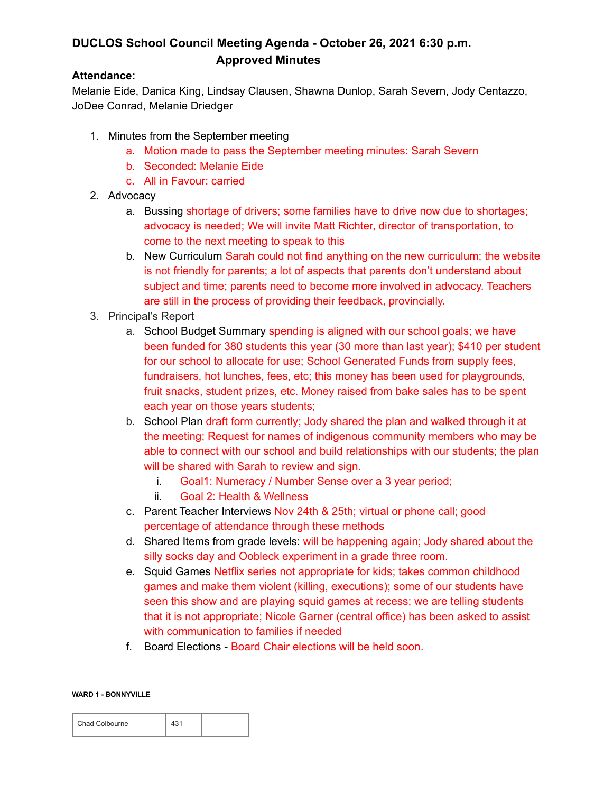# **DUCLOS School Council Meeting Agenda - October 26, 2021 6:30 p.m. Approved Minutes**

### **Attendance:**

Melanie Eide, Danica King, Lindsay Clausen, Shawna Dunlop, Sarah Severn, Jody Centazzo, JoDee Conrad, Melanie Driedger

- 1. Minutes from the September meeting
	- a. Motion made to pass the September meeting minutes: Sarah Severn
	- b. Seconded: Melanie Eide
	- c. All in Favour: carried
- 2. Advocacy
	- a. Bussing shortage of drivers; some families have to drive now due to shortages; advocacy is needed; We will invite Matt Richter, director of transportation, to come to the next meeting to speak to this
	- b. New Curriculum Sarah could not find anything on the new curriculum; the website is not friendly for parents; a lot of aspects that parents don't understand about subject and time; parents need to become more involved in advocacy. Teachers are still in the process of providing their feedback, provincially.
- 3. Principal's Report
	- a. School Budget Summary spending is aligned with our school goals; we have been funded for 380 students this year (30 more than last year); \$410 per student for our school to allocate for use; School Generated Funds from supply fees, fundraisers, hot lunches, fees, etc; this money has been used for playgrounds, fruit snacks, student prizes, etc. Money raised from bake sales has to be spent each year on those years students;
	- b. School Plan draft form currently; Jody shared the plan and walked through it at the meeting; Request for names of indigenous community members who may be able to connect with our school and build relationships with our students; the plan will be shared with Sarah to review and sign.
		- i. Goal1: Numeracy / Number Sense over a 3 year period;
		- ii. Goal 2: Health & Wellness
	- c. Parent Teacher Interviews Nov 24th & 25th; virtual or phone call; good percentage of attendance through these methods
	- d. Shared Items from grade levels: will be happening again; Jody shared about the silly socks day and Oobleck experiment in a grade three room.
	- e. Squid Games Netflix series not appropriate for kids; takes common childhood games and make them violent (killing, executions); some of our students have seen this show and are playing squid games at recess; we are telling students that it is not appropriate; Nicole Garner (central office) has been asked to assist with communication to families if needed
	- f. Board Elections Board Chair elections will be held soon.

#### **WARD 1 - BONNYVILLE**

| Chad Colbourne |  |  |
|----------------|--|--|
|----------------|--|--|